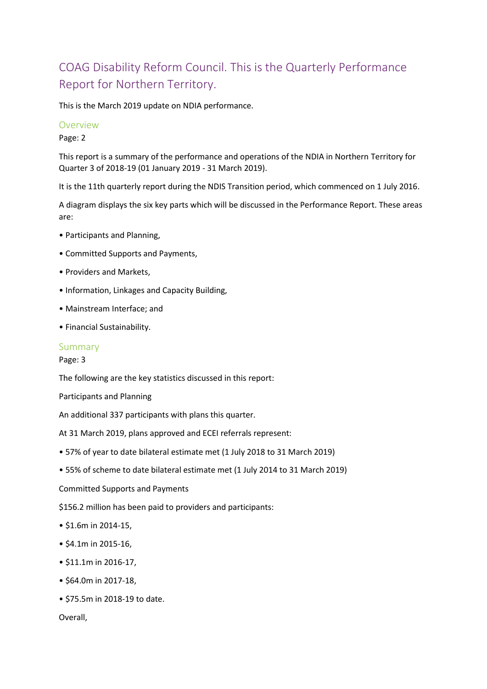# COAG Disability Reform Council. This is the Quarterly Performance Report for Northern Territory.

This is the March 2019 update on NDIA performance.

#### Overview

Page: 2

This report is a summary of the performance and operations of the NDIA in Northern Territory for Quarter 3 of 2018-19 (01 January 2019 - 31 March 2019).

It is the 11th quarterly report during the NDIS Transition period, which commenced on 1 July 2016.

A diagram displays the six key parts which will be discussed in the Performance Report. These areas are:

- Participants and Planning,
- Committed Supports and Payments,
- Providers and Markets,
- Information, Linkages and Capacity Building,
- Mainstream Interface; and
- Financial Sustainability.

#### Summary

Page: 3

The following are the key statistics discussed in this report:

Participants and Planning

An additional 337 participants with plans this quarter.

At 31 March 2019, plans approved and ECEI referrals represent:

- 57% of year to date bilateral estimate met (1 July 2018 to 31 March 2019)
- 55% of scheme to date bilateral estimate met (1 July 2014 to 31 March 2019)

Committed Supports and Payments

\$156.2 million has been paid to providers and participants:

- \$1.6m in 2014-15,
- \$4.1m in 2015-16,
- \$11.1m in 2016-17,
- \$64.0m in 2017-18,
- \$75.5m in 2018-19 to date.

Overall,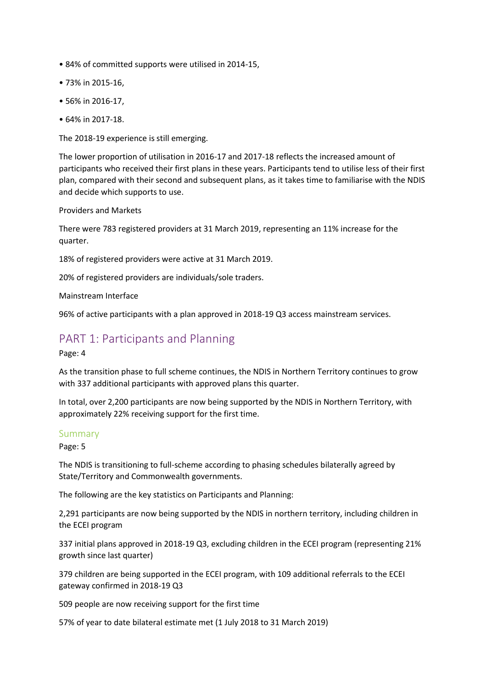- 84% of committed supports were utilised in 2014-15,
- 73% in 2015-16,
- 56% in 2016-17,
- 64% in 2017-18.

The 2018-19 experience is still emerging.

The lower proportion of utilisation in 2016-17 and 2017-18 reflects the increased amount of participants who received their first plans in these years. Participants tend to utilise less of their first plan, compared with their second and subsequent plans, as it takes time to familiarise with the NDIS and decide which supports to use.

#### Providers and Markets

There were 783 registered providers at 31 March 2019, representing an 11% increase for the quarter.

18% of registered providers were active at 31 March 2019.

20% of registered providers are individuals/sole traders.

Mainstream Interface

96% of active participants with a plan approved in 2018-19 Q3 access mainstream services.

## PART 1: Participants and Planning

Page: 4

As the transition phase to full scheme continues, the NDIS in Northern Territory continues to grow with 337 additional participants with approved plans this quarter.

In total, over 2,200 participants are now being supported by the NDIS in Northern Territory, with approximately 22% receiving support for the first time.

#### Summary

Page: 5

The NDIS is transitioning to full-scheme according to phasing schedules bilaterally agreed by State/Territory and Commonwealth governments.

The following are the key statistics on Participants and Planning:

2,291 participants are now being supported by the NDIS in northern territory, including children in the ECEI program

337 initial plans approved in 2018-19 Q3, excluding children in the ECEI program (representing 21% growth since last quarter)

379 children are being supported in the ECEI program, with 109 additional referrals to the ECEI gateway confirmed in 2018-19 Q3

509 people are now receiving support for the first time

57% of year to date bilateral estimate met (1 July 2018 to 31 March 2019)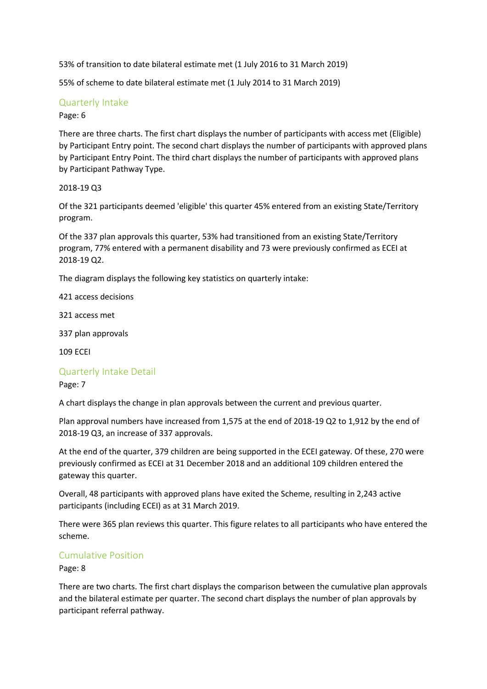53% of transition to date bilateral estimate met (1 July 2016 to 31 March 2019)

55% of scheme to date bilateral estimate met (1 July 2014 to 31 March 2019)

## Quarterly Intake

#### Page: 6

There are three charts. The first chart displays the number of participants with access met (Eligible) by Participant Entry point. The second chart displays the number of participants with approved plans by Participant Entry Point. The third chart displays the number of participants with approved plans by Participant Pathway Type.

### 2018-19 Q3

Of the 321 participants deemed 'eligible' this quarter 45% entered from an existing State/Territory program.

Of the 337 plan approvals this quarter, 53% had transitioned from an existing State/Territory program, 77% entered with a permanent disability and 73 were previously confirmed as ECEI at 2018-19 Q2.

The diagram displays the following key statistics on quarterly intake:

421 access decisions

321 access met

337 plan approvals

109 ECEI

## Quarterly Intake Detail

#### Page: 7

A chart displays the change in plan approvals between the current and previous quarter.

Plan approval numbers have increased from 1,575 at the end of 2018-19 Q2 to 1,912 by the end of 2018-19 Q3, an increase of 337 approvals.

At the end of the quarter, 379 children are being supported in the ECEI gateway. Of these, 270 were previously confirmed as ECEI at 31 December 2018 and an additional 109 children entered the gateway this quarter.

Overall, 48 participants with approved plans have exited the Scheme, resulting in 2,243 active participants (including ECEI) as at 31 March 2019.

There were 365 plan reviews this quarter. This figure relates to all participants who have entered the scheme.

## Cumulative Position

Page: 8

There are two charts. The first chart displays the comparison between the cumulative plan approvals and the bilateral estimate per quarter. The second chart displays the number of plan approvals by participant referral pathway.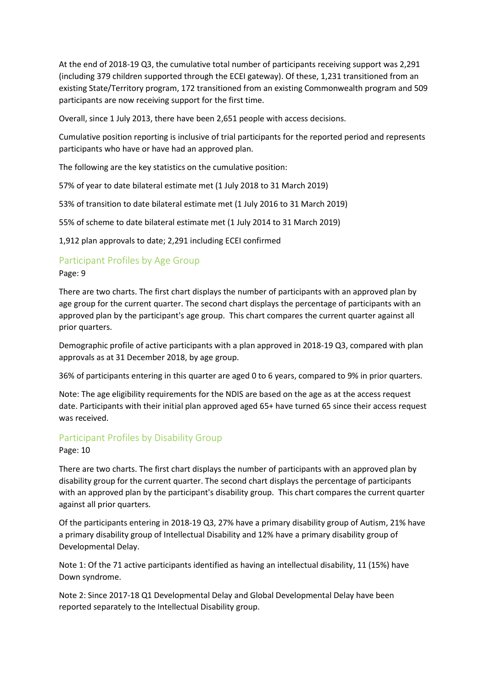At the end of 2018-19 Q3, the cumulative total number of participants receiving support was 2,291 (including 379 children supported through the ECEI gateway). Of these, 1,231 transitioned from an existing State/Territory program, 172 transitioned from an existing Commonwealth program and 509 participants are now receiving support for the first time.

Overall, since 1 July 2013, there have been 2,651 people with access decisions.

Cumulative position reporting is inclusive of trial participants for the reported period and represents participants who have or have had an approved plan.

The following are the key statistics on the cumulative position:

57% of year to date bilateral estimate met (1 July 2018 to 31 March 2019)

53% of transition to date bilateral estimate met (1 July 2016 to 31 March 2019)

55% of scheme to date bilateral estimate met (1 July 2014 to 31 March 2019)

1,912 plan approvals to date; 2,291 including ECEI confirmed

## Participant Profiles by Age Group

#### Page: 9

There are two charts. The first chart displays the number of participants with an approved plan by age group for the current quarter. The second chart displays the percentage of participants with an approved plan by the participant's age group. This chart compares the current quarter against all prior quarters.

Demographic profile of active participants with a plan approved in 2018-19 Q3, compared with plan approvals as at 31 December 2018, by age group.

36% of participants entering in this quarter are aged 0 to 6 years, compared to 9% in prior quarters.

Note: The age eligibility requirements for the NDIS are based on the age as at the access request date. Participants with their initial plan approved aged 65+ have turned 65 since their access request was received.

## Participant Profiles by Disability Group

#### Page: 10

There are two charts. The first chart displays the number of participants with an approved plan by disability group for the current quarter. The second chart displays the percentage of participants with an approved plan by the participant's disability group. This chart compares the current quarter against all prior quarters.

Of the participants entering in 2018-19 Q3, 27% have a primary disability group of Autism, 21% have a primary disability group of Intellectual Disability and 12% have a primary disability group of Developmental Delay.

Note 1: Of the 71 active participants identified as having an intellectual disability, 11 (15%) have Down syndrome.

Note 2: Since 2017-18 Q1 Developmental Delay and Global Developmental Delay have been reported separately to the Intellectual Disability group.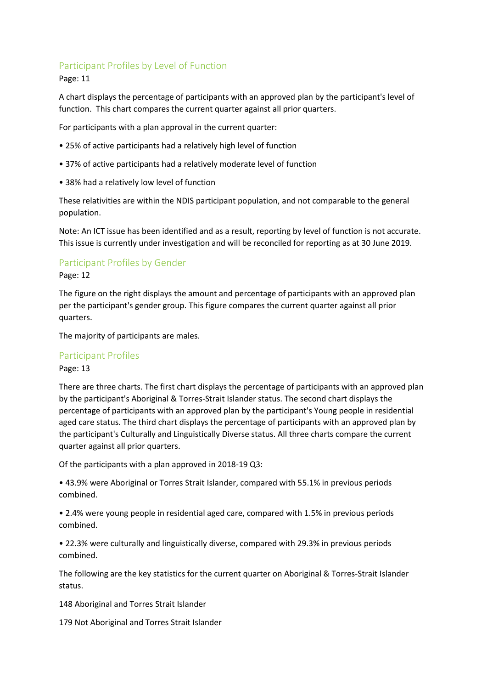## Participant Profiles by Level of Function

## Page: 11

A chart displays the percentage of participants with an approved plan by the participant's level of function. This chart compares the current quarter against all prior quarters.

For participants with a plan approval in the current quarter:

- 25% of active participants had a relatively high level of function
- 37% of active participants had a relatively moderate level of function
- 38% had a relatively low level of function

These relativities are within the NDIS participant population, and not comparable to the general population.

Note: An ICT issue has been identified and as a result, reporting by level of function is not accurate. This issue is currently under investigation and will be reconciled for reporting as at 30 June 2019.

## Participant Profiles by Gender

### Page: 12

The figure on the right displays the amount and percentage of participants with an approved plan per the participant's gender group. This figure compares the current quarter against all prior quarters.

The majority of participants are males.

## Participant Profiles

#### Page: 13

There are three charts. The first chart displays the percentage of participants with an approved plan by the participant's Aboriginal & Torres-Strait Islander status. The second chart displays the percentage of participants with an approved plan by the participant's Young people in residential aged care status. The third chart displays the percentage of participants with an approved plan by the participant's Culturally and Linguistically Diverse status. All three charts compare the current quarter against all prior quarters.

Of the participants with a plan approved in 2018-19 Q3:

• 43.9% were Aboriginal or Torres Strait Islander, compared with 55.1% in previous periods combined.

• 2.4% were young people in residential aged care, compared with 1.5% in previous periods combined.

• 22.3% were culturally and linguistically diverse, compared with 29.3% in previous periods combined.

The following are the key statistics for the current quarter on Aboriginal & Torres-Strait Islander status.

148 Aboriginal and Torres Strait Islander

179 Not Aboriginal and Torres Strait Islander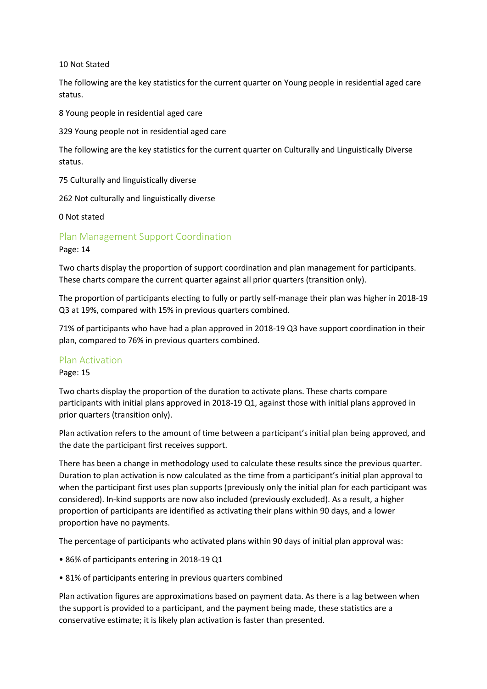#### 10 Not Stated

The following are the key statistics for the current quarter on Young people in residential aged care status.

8 Young people in residential aged care

329 Young people not in residential aged care

The following are the key statistics for the current quarter on Culturally and Linguistically Diverse status.

75 Culturally and linguistically diverse

262 Not culturally and linguistically diverse

0 Not stated

Plan Management Support Coordination

Page: 14

Two charts display the proportion of support coordination and plan management for participants. These charts compare the current quarter against all prior quarters (transition only).

The proportion of participants electing to fully or partly self-manage their plan was higher in 2018-19 Q3 at 19%, compared with 15% in previous quarters combined.

71% of participants who have had a plan approved in 2018-19 Q3 have support coordination in their plan, compared to 76% in previous quarters combined.

#### Plan Activation

Page: 15

Two charts display the proportion of the duration to activate plans. These charts compare participants with initial plans approved in 2018-19 Q1, against those with initial plans approved in prior quarters (transition only).

Plan activation refers to the amount of time between a participant's initial plan being approved, and the date the participant first receives support.

There has been a change in methodology used to calculate these results since the previous quarter. Duration to plan activation is now calculated as the time from a participant's initial plan approval to when the participant first uses plan supports (previously only the initial plan for each participant was considered). In-kind supports are now also included (previously excluded). As a result, a higher proportion of participants are identified as activating their plans within 90 days, and a lower proportion have no payments.

The percentage of participants who activated plans within 90 days of initial plan approval was:

- 86% of participants entering in 2018-19 Q1
- 81% of participants entering in previous quarters combined

Plan activation figures are approximations based on payment data. As there is a lag between when the support is provided to a participant, and the payment being made, these statistics are a conservative estimate; it is likely plan activation is faster than presented.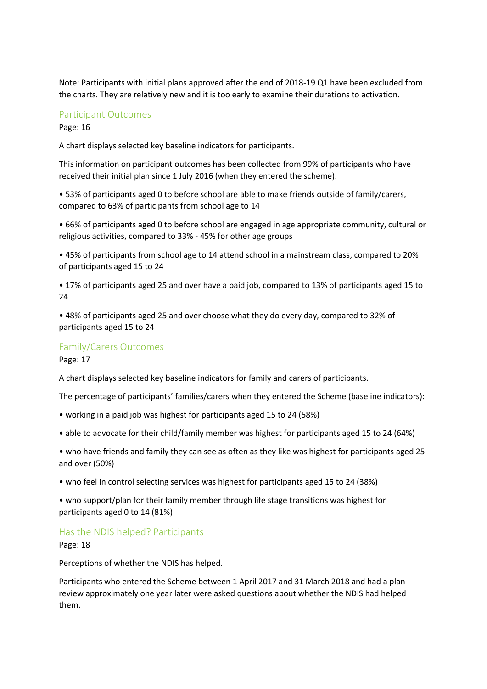Note: Participants with initial plans approved after the end of 2018-19 Q1 have been excluded from the charts. They are relatively new and it is too early to examine their durations to activation.

#### Participant Outcomes

Page: 16

A chart displays selected key baseline indicators for participants.

This information on participant outcomes has been collected from 99% of participants who have received their initial plan since 1 July 2016 (when they entered the scheme).

• 53% of participants aged 0 to before school are able to make friends outside of family/carers, compared to 63% of participants from school age to 14

• 66% of participants aged 0 to before school are engaged in age appropriate community, cultural or religious activities, compared to 33% - 45% for other age groups

• 45% of participants from school age to 14 attend school in a mainstream class, compared to 20% of participants aged 15 to 24

• 17% of participants aged 25 and over have a paid job, compared to 13% of participants aged 15 to 24

• 48% of participants aged 25 and over choose what they do every day, compared to 32% of participants aged 15 to 24

#### Family/Carers Outcomes

Page: 17

A chart displays selected key baseline indicators for family and carers of participants.

The percentage of participants' families/carers when they entered the Scheme (baseline indicators):

- working in a paid job was highest for participants aged 15 to 24 (58%)
- able to advocate for their child/family member was highest for participants aged 15 to 24 (64%)

• who have friends and family they can see as often as they like was highest for participants aged 25 and over (50%)

• who feel in control selecting services was highest for participants aged 15 to 24 (38%)

• who support/plan for their family member through life stage transitions was highest for participants aged 0 to 14 (81%)

#### Has the NDIS helped? Participants

Page: 18

Perceptions of whether the NDIS has helped.

Participants who entered the Scheme between 1 April 2017 and 31 March 2018 and had a plan review approximately one year later were asked questions about whether the NDIS had helped them.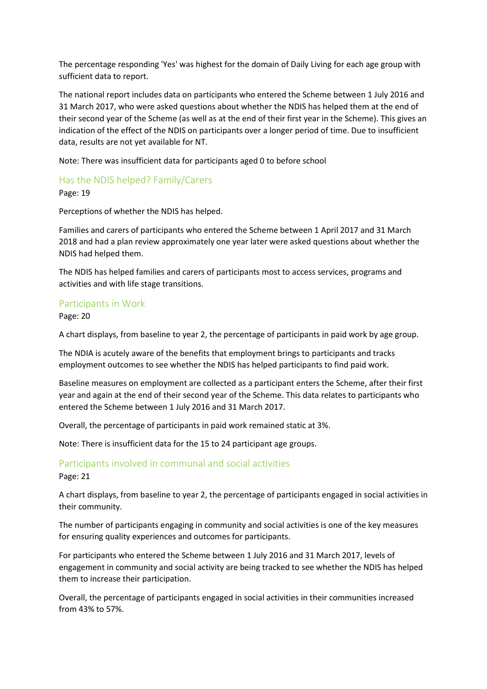The percentage responding 'Yes' was highest for the domain of Daily Living for each age group with sufficient data to report.

The national report includes data on participants who entered the Scheme between 1 July 2016 and 31 March 2017, who were asked questions about whether the NDIS has helped them at the end of their second year of the Scheme (as well as at the end of their first year in the Scheme). This gives an indication of the effect of the NDIS on participants over a longer period of time. Due to insufficient data, results are not yet available for NT.

Note: There was insufficient data for participants aged 0 to before school

Has the NDIS helped? Family/Carers

Page: 19

Perceptions of whether the NDIS has helped.

Families and carers of participants who entered the Scheme between 1 April 2017 and 31 March 2018 and had a plan review approximately one year later were asked questions about whether the NDIS had helped them.

The NDIS has helped families and carers of participants most to access services, programs and activities and with life stage transitions.

## Participants in Work

Page: 20

A chart displays, from baseline to year 2, the percentage of participants in paid work by age group.

The NDIA is acutely aware of the benefits that employment brings to participants and tracks employment outcomes to see whether the NDIS has helped participants to find paid work.

Baseline measures on employment are collected as a participant enters the Scheme, after their first year and again at the end of their second year of the Scheme. This data relates to participants who entered the Scheme between 1 July 2016 and 31 March 2017.

Overall, the percentage of participants in paid work remained static at 3%.

Note: There is insufficient data for the 15 to 24 participant age groups.

## Participants involved in communal and social activities

Page: 21

A chart displays, from baseline to year 2, the percentage of participants engaged in social activities in their community.

The number of participants engaging in community and social activities is one of the key measures for ensuring quality experiences and outcomes for participants.

For participants who entered the Scheme between 1 July 2016 and 31 March 2017, levels of engagement in community and social activity are being tracked to see whether the NDIS has helped them to increase their participation.

Overall, the percentage of participants engaged in social activities in their communities increased from 43% to 57%.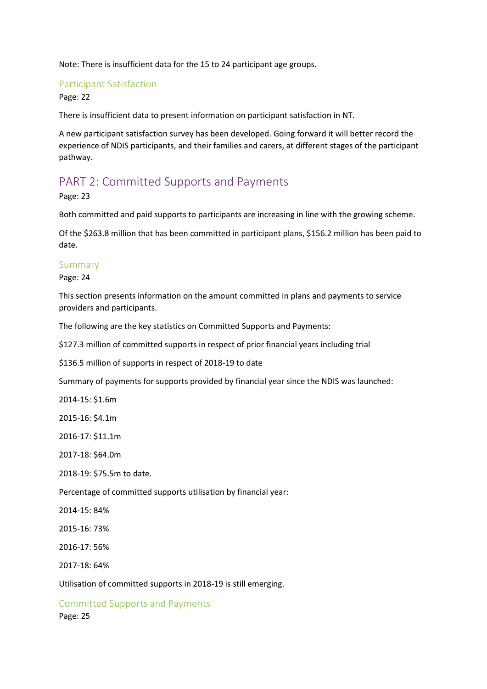Note: There is insufficient data for the 15 to 24 participant age groups.

## Participant Satisfaction

Page: 22

There is insufficient data to present information on participant satisfaction in NT.

A new participant satisfaction survey has been developed. Going forward it will better record the experience of NDIS participants, and their families and carers, at different stages of the participant pathway.

# PART 2: Committed Supports and Payments

Page: 23

Both committed and paid supports to participants are increasing in line with the growing scheme.

Of the \$263.8 million that has been committed in participant plans, \$156.2 million has been paid to date.

## Summary

Page: 24

This section presents information on the amount committed in plans and payments to service providers and participants.

The following are the key statistics on Committed Supports and Payments:

\$127.3 million of committed supports in respect of prior financial years including trial

\$136.5 million of supports in respect of 2018-19 to date

Summary of payments for supports provided by financial year since the NDIS was launched:

2014-15: \$1.6m

2015-16: \$4.1m

2016-17: \$11.1m

2017-18: \$64.0m

2018-19: \$75.5m to date.

Percentage of committed supports utilisation by financial year:

2014-15: 84%

2015-16: 73%

2016-17: 56%

2017-18: 64%

Utilisation of committed supports in 2018-19 is still emerging.

Committed Supports and Payments Page: 25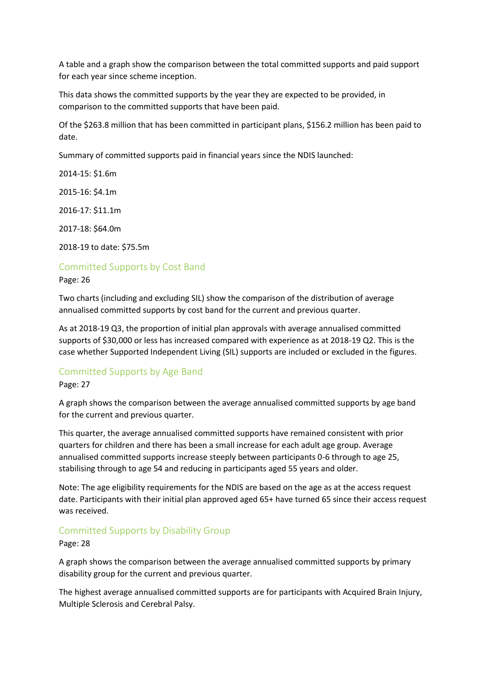A table and a graph show the comparison between the total committed supports and paid support for each year since scheme inception.

This data shows the committed supports by the year they are expected to be provided, in comparison to the committed supports that have been paid.

Of the \$263.8 million that has been committed in participant plans, \$156.2 million has been paid to date.

Summary of committed supports paid in financial years since the NDIS launched:

2014-15: \$1.6m

2015-16: \$4.1m

2016-17: \$11.1m

2017-18: \$64.0m

2018-19 to date: \$75.5m

## Committed Supports by Cost Band

Page: 26

Two charts (including and excluding SIL) show the comparison of the distribution of average annualised committed supports by cost band for the current and previous quarter.

As at 2018-19 Q3, the proportion of initial plan approvals with average annualised committed supports of \$30,000 or less has increased compared with experience as at 2018-19 Q2. This is the case whether Supported Independent Living (SIL) supports are included or excluded in the figures.

## Committed Supports by Age Band

Page: 27

A graph shows the comparison between the average annualised committed supports by age band for the current and previous quarter.

This quarter, the average annualised committed supports have remained consistent with prior quarters for children and there has been a small increase for each adult age group. Average annualised committed supports increase steeply between participants 0-6 through to age 25, stabilising through to age 54 and reducing in participants aged 55 years and older.

Note: The age eligibility requirements for the NDIS are based on the age as at the access request date. Participants with their initial plan approved aged 65+ have turned 65 since their access request was received.

## Committed Supports by Disability Group

#### Page: 28

A graph shows the comparison between the average annualised committed supports by primary disability group for the current and previous quarter.

The highest average annualised committed supports are for participants with Acquired Brain Injury, Multiple Sclerosis and Cerebral Palsy.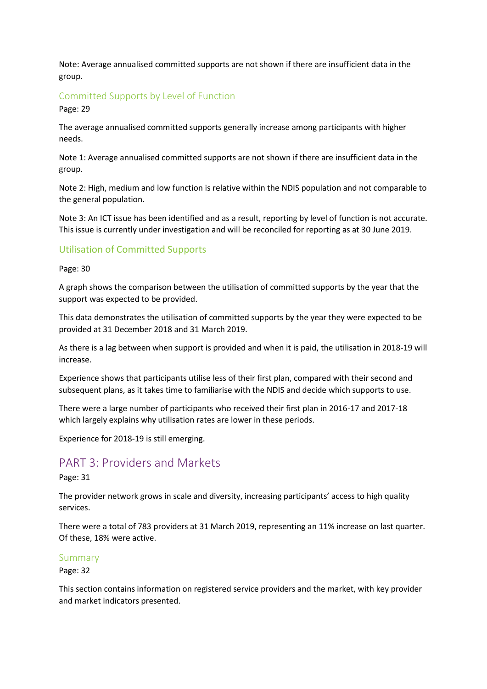Note: Average annualised committed supports are not shown if there are insufficient data in the group.

## Committed Supports by Level of Function

Page: 29

The average annualised committed supports generally increase among participants with higher needs.

Note 1: Average annualised committed supports are not shown if there are insufficient data in the group.

Note 2: High, medium and low function is relative within the NDIS population and not comparable to the general population.

Note 3: An ICT issue has been identified and as a result, reporting by level of function is not accurate. This issue is currently under investigation and will be reconciled for reporting as at 30 June 2019.

## Utilisation of Committed Supports

#### Page: 30

A graph shows the comparison between the utilisation of committed supports by the year that the support was expected to be provided.

This data demonstrates the utilisation of committed supports by the year they were expected to be provided at 31 December 2018 and 31 March 2019.

As there is a lag between when support is provided and when it is paid, the utilisation in 2018-19 will increase.

Experience shows that participants utilise less of their first plan, compared with their second and subsequent plans, as it takes time to familiarise with the NDIS and decide which supports to use.

There were a large number of participants who received their first plan in 2016-17 and 2017-18 which largely explains why utilisation rates are lower in these periods.

Experience for 2018-19 is still emerging.

## PART 3: Providers and Markets

Page: 31

The provider network grows in scale and diversity, increasing participants' access to high quality services.

There were a total of 783 providers at 31 March 2019, representing an 11% increase on last quarter. Of these, 18% were active.

#### Summary

Page: 32

This section contains information on registered service providers and the market, with key provider and market indicators presented.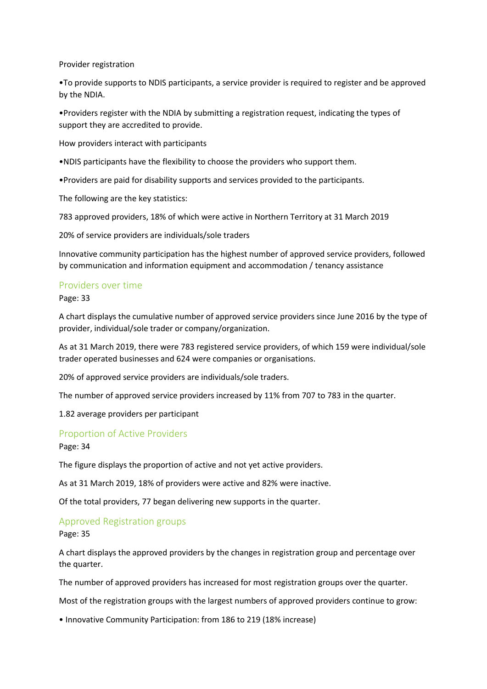Provider registration

•To provide supports to NDIS participants, a service provider is required to register and be approved by the NDIA.

•Providers register with the NDIA by submitting a registration request, indicating the types of support they are accredited to provide.

How providers interact with participants

•NDIS participants have the flexibility to choose the providers who support them.

•Providers are paid for disability supports and services provided to the participants.

The following are the key statistics:

783 approved providers, 18% of which were active in Northern Territory at 31 March 2019

20% of service providers are individuals/sole traders

Innovative community participation has the highest number of approved service providers, followed by communication and information equipment and accommodation / tenancy assistance

#### Providers over time

Page: 33

A chart displays the cumulative number of approved service providers since June 2016 by the type of provider, individual/sole trader or company/organization.

As at 31 March 2019, there were 783 registered service providers, of which 159 were individual/sole trader operated businesses and 624 were companies or organisations.

20% of approved service providers are individuals/sole traders.

The number of approved service providers increased by 11% from 707 to 783 in the quarter.

1.82 average providers per participant

#### Proportion of Active Providers

Page: 34

The figure displays the proportion of active and not yet active providers.

As at 31 March 2019, 18% of providers were active and 82% were inactive.

Of the total providers, 77 began delivering new supports in the quarter.

#### Approved Registration groups

Page: 35

A chart displays the approved providers by the changes in registration group and percentage over the quarter.

The number of approved providers has increased for most registration groups over the quarter.

Most of the registration groups with the largest numbers of approved providers continue to grow:

• Innovative Community Participation: from 186 to 219 (18% increase)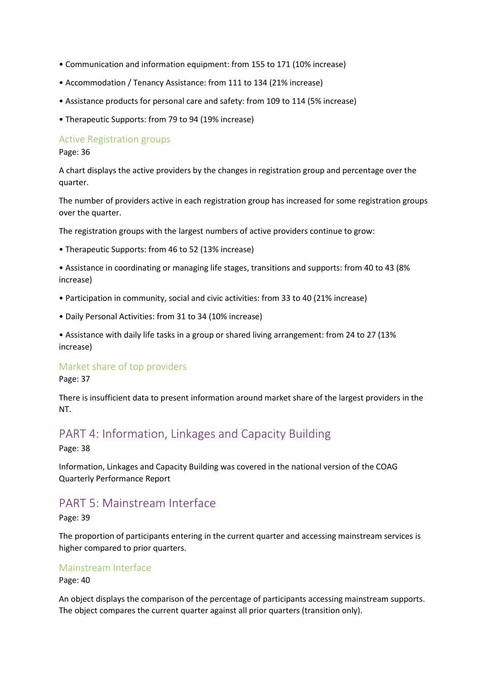- Communication and information equipment: from 155 to 171 (10% increase)
- Accommodation / Tenancy Assistance: from 111 to 134 (21% increase)
- Assistance products for personal care and safety: from 109 to 114 (5% increase)
- Therapeutic Supports: from 79 to 94 (19% increase)

## Active Registration groups

Page: 36

A chart displays the active providers by the changes in registration group and percentage over the quarter.

The number of providers active in each registration group has increased for some registration groups over the quarter.

The registration groups with the largest numbers of active providers continue to grow:

• Therapeutic Supports: from 46 to 52 (13% increase)

• Assistance in coordinating or managing life stages, transitions and supports: from 40 to 43 (8% increase)

- Participation in community, social and civic activities: from 33 to 40 (21% increase)
- Daily Personal Activities: from 31 to 34 (10% increase)

• Assistance with daily life tasks in a group or shared living arrangement: from 24 to 27 (13% increase)

## Market share of top providers

Page: 37

There is insufficient data to present information around market share of the largest providers in the NT.

# PART 4: Information, Linkages and Capacity Building

Page: 38

Information, Linkages and Capacity Building was covered in the national version of the COAG Quarterly Performance Report

## PART 5: Mainstream Interface

Page: 39

The proportion of participants entering in the current quarter and accessing mainstream services is higher compared to prior quarters.

## Mainstream Interface

Page: 40

An object displays the comparison of the percentage of participants accessing mainstream supports. The object compares the current quarter against all prior quarters (transition only).